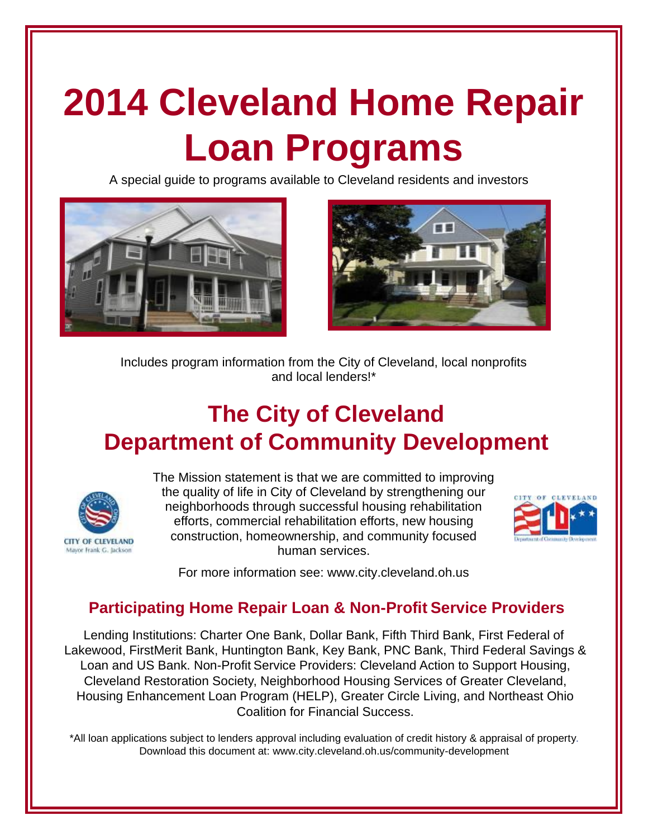# **2014 Cleveland Home Repair Loan Programs**

A special guide to programs available to Cleveland residents and investors





Includes program information from the City of Cleveland, local nonprofits and local lenders!\*

# **The City of Cleveland Department of Community Development**



The Mission statement is that we are committed to improving the quality of life in City of Cleveland by strengthening our neighborhoods through successful housing rehabilitation efforts, commercial rehabilitation efforts, new housing construction, homeownership, and community focused human services.



For more information see: www.city.cleveland.oh.us

## **Participating Home Repair Loan & Non-Profit Service Providers**

Lending Institutions: Charter One Bank, Dollar Bank, Fifth Third Bank, First Federal of Lakewood, FirstMerit Bank, Huntington Bank, Key Bank, PNC Bank, Third Federal Savings & Loan and US Bank. Non-Profit Service Providers: Cleveland Action to Support Housing, Cleveland Restoration Society, Neighborhood Housing Services of Greater Cleveland, Housing Enhancement Loan Program (HELP), Greater Circle Living, and Northeast Ohio Coalition for Financial Success.

\*All loan applications subject to lenders approval including evaluation of credit history & appraisal of property. Download this document at: www.city.cleveland.oh.us/community-development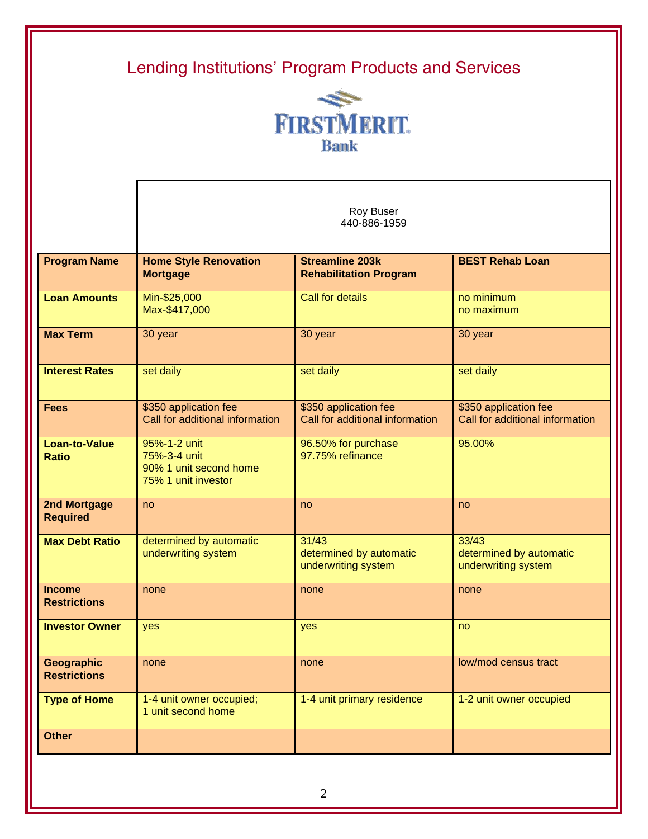

Roy Buser

|                                          | 440-886-1959                                                                  |                                                          |                                                          |  |  |  |
|------------------------------------------|-------------------------------------------------------------------------------|----------------------------------------------------------|----------------------------------------------------------|--|--|--|
| <b>Program Name</b>                      | <b>Home Style Renovation</b><br><b>Mortgage</b>                               | <b>Streamline 203k</b><br><b>Rehabilitation Program</b>  | <b>BEST Rehab Loan</b>                                   |  |  |  |
| <b>Loan Amounts</b>                      | Min-\$25,000<br>Max-\$417,000                                                 | <b>Call for details</b>                                  | no minimum<br>no maximum                                 |  |  |  |
| <b>Max Term</b>                          | 30 year                                                                       | 30 year                                                  | 30 year                                                  |  |  |  |
| <b>Interest Rates</b>                    | set daily                                                                     | set daily                                                | set daily                                                |  |  |  |
| <b>Fees</b>                              | \$350 application fee<br>Call for additional information                      | \$350 application fee<br>Call for additional information | \$350 application fee<br>Call for additional information |  |  |  |
| <b>Loan-to-Value</b><br><b>Ratio</b>     | 95%-1-2 unit<br>75%-3-4 unit<br>90% 1 unit second home<br>75% 1 unit investor | 96.50% for purchase<br>97.75% refinance                  | 95.00%                                                   |  |  |  |
| <b>2nd Mortgage</b><br><b>Required</b>   | no                                                                            | no                                                       | no                                                       |  |  |  |
| <b>Max Debt Ratio</b>                    | determined by automatic<br>underwriting system                                | 31/43<br>determined by automatic<br>underwriting system  | 33/43<br>determined by automatic<br>underwriting system  |  |  |  |
| <b>Income</b><br><b>Restrictions</b>     | none                                                                          | none                                                     | none                                                     |  |  |  |
| <b>Investor Owner</b>                    | yes                                                                           | yes                                                      | no                                                       |  |  |  |
| <b>Geographic</b><br><b>Restrictions</b> | none                                                                          | none                                                     | low/mod census tract                                     |  |  |  |
| <b>Type of Home</b>                      | 1-4 unit owner occupied;<br>1 unit second home                                | 1-4 unit primary residence                               | 1-2 unit owner occupied                                  |  |  |  |
| <b>Other</b>                             |                                                                               |                                                          |                                                          |  |  |  |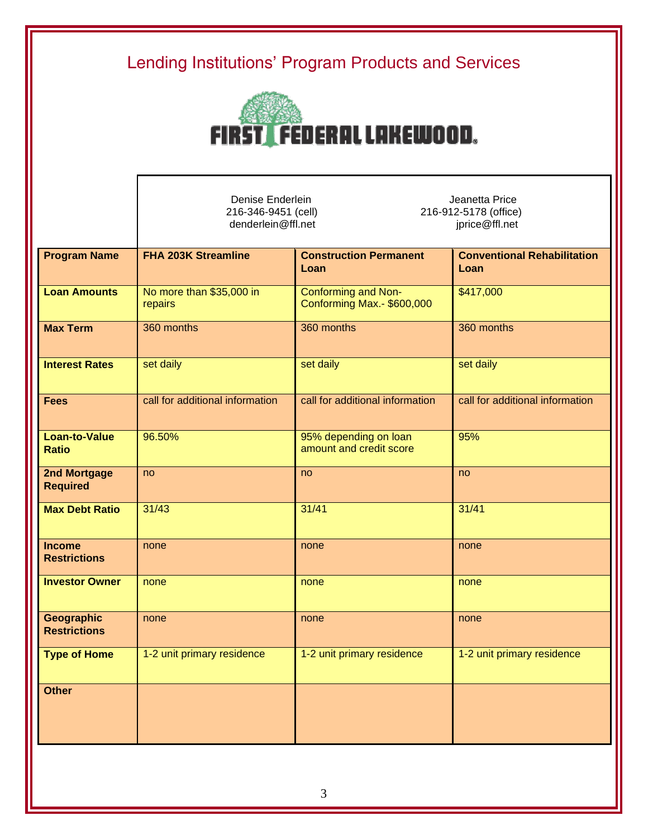

Denise Enderlein Jeanetta Price<br>216-346-9451 (cell) 216-912-5178 (office 216-912-5178 (office) denderlein@ffl.net in the settlement of the settlement of the settlement of the settlement of the settlement of the settlement of the settlement of the settlement of the settlement of the settlement of the settlement of th

| No more than \$35,000 in<br>repairs | Conforming and Non-<br>Conforming Max.- \$600,000 | \$417,000                                                                                                    |
|-------------------------------------|---------------------------------------------------|--------------------------------------------------------------------------------------------------------------|
|                                     |                                                   |                                                                                                              |
| 360 months                          | 360 months                                        | 360 months                                                                                                   |
| set daily                           |                                                   | set daily                                                                                                    |
| call for additional information     |                                                   | call for additional information                                                                              |
| 96.50%                              | amount and credit score                           | 95%                                                                                                          |
| no                                  | no                                                | no                                                                                                           |
| 31/43                               |                                                   | 31/41                                                                                                        |
| none                                | none                                              | none                                                                                                         |
| none                                | none                                              | none                                                                                                         |
| none                                | none                                              | none                                                                                                         |
| 1-2 unit primary residence          |                                                   | 1-2 unit primary residence                                                                                   |
|                                     |                                                   |                                                                                                              |
|                                     |                                                   | set daily<br>call for additional information<br>95% depending on loan<br>31/41<br>1-2 unit primary residence |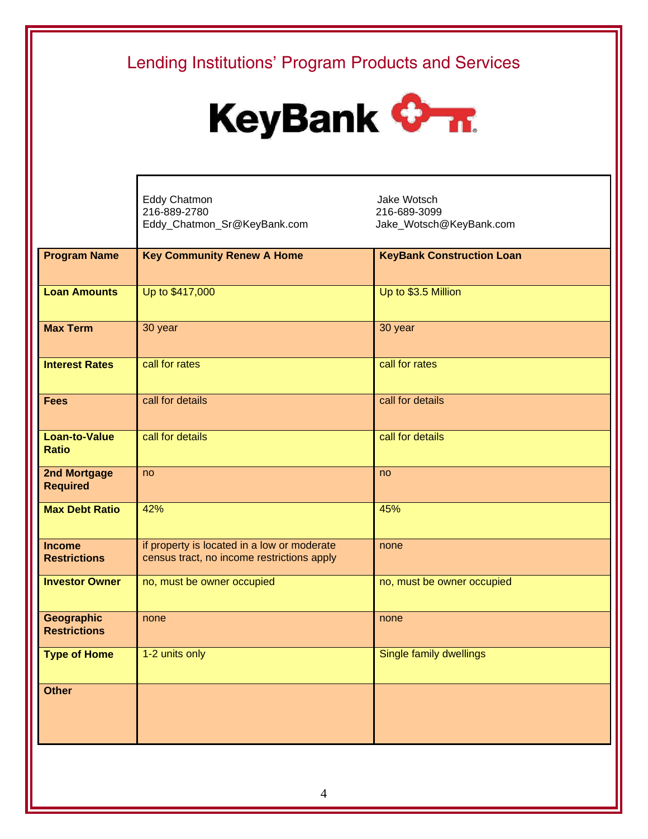

Eddy Chatmon<br>
216-889-2780<br>
216-889-3099 216-889-2780 Eddy\_Chatmon\_Sr@KeyBank.com Jake\_Wotsch@KeyBank.com

| <b>Program Name</b>   | <b>Key Community Renew A Home</b>           | <b>KeyBank Construction Loan</b> |
|-----------------------|---------------------------------------------|----------------------------------|
|                       |                                             |                                  |
| <b>Loan Amounts</b>   | Up to \$417,000                             | Up to \$3.5 Million              |
|                       |                                             |                                  |
| <b>Max Term</b>       | 30 year                                     | 30 year                          |
|                       |                                             |                                  |
| <b>Interest Rates</b> | call for rates                              | call for rates                   |
|                       |                                             |                                  |
| <b>Fees</b>           | call for details                            | call for details                 |
|                       |                                             |                                  |
| <b>Loan-to-Value</b>  | call for details                            | call for details                 |
| <b>Ratio</b>          |                                             |                                  |
| 2nd Mortgage          | no                                          | no                               |
| <b>Required</b>       |                                             |                                  |
| <b>Max Debt Ratio</b> | 42%                                         | 45%                              |
|                       |                                             |                                  |
| <b>Income</b>         | if property is located in a low or moderate | none                             |
| <b>Restrictions</b>   | census tract, no income restrictions apply  |                                  |
| <b>Investor Owner</b> | no, must be owner occupied                  | no, must be owner occupied       |
|                       |                                             |                                  |
| Geographic            | none                                        | none                             |
| <b>Restrictions</b>   |                                             |                                  |
| <b>Type of Home</b>   | 1-2 units only                              | Single family dwellings          |
|                       |                                             |                                  |
| <b>Other</b>          |                                             |                                  |
|                       |                                             |                                  |
|                       |                                             |                                  |
|                       |                                             |                                  |
|                       |                                             |                                  |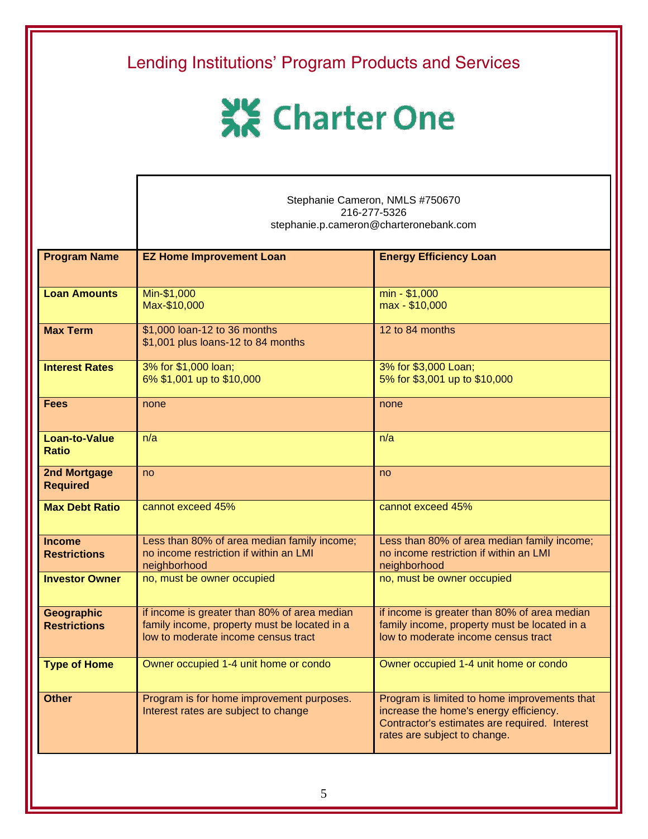| Lending Institutions' Program Products and Services |                                                                                                                                     |                                                                                                                                                                         |  |  |  |  |
|-----------------------------------------------------|-------------------------------------------------------------------------------------------------------------------------------------|-------------------------------------------------------------------------------------------------------------------------------------------------------------------------|--|--|--|--|
| <b>XX</b> Charter One                               |                                                                                                                                     |                                                                                                                                                                         |  |  |  |  |
|                                                     |                                                                                                                                     | Stephanie Cameron, NMLS #750670<br>216-277-5326<br>stephanie.p.cameron@charteronebank.com                                                                               |  |  |  |  |
| <b>Program Name</b>                                 | <b>EZ Home Improvement Loan</b>                                                                                                     | <b>Energy Efficiency Loan</b>                                                                                                                                           |  |  |  |  |
| <b>Loan Amounts</b>                                 | Min-\$1,000<br>Max-\$10,000                                                                                                         | min - \$1,000<br>max - \$10,000                                                                                                                                         |  |  |  |  |
| <b>Max Term</b>                                     | \$1,000 loan-12 to 36 months<br>\$1,001 plus loans-12 to 84 months                                                                  | 12 to 84 months                                                                                                                                                         |  |  |  |  |
| <b>Interest Rates</b>                               | 3% for \$1,000 loan;<br>6% \$1,001 up to \$10,000                                                                                   | 3% for \$3,000 Loan;<br>5% for \$3,001 up to \$10,000                                                                                                                   |  |  |  |  |
| <b>Fees</b>                                         | none                                                                                                                                | none                                                                                                                                                                    |  |  |  |  |
| <b>Loan-to-Value</b><br><b>Ratio</b>                | n/a                                                                                                                                 | n/a                                                                                                                                                                     |  |  |  |  |
| 2nd Mortgage<br><b>Required</b>                     | no                                                                                                                                  | no                                                                                                                                                                      |  |  |  |  |
| <b>Max Debt Ratio</b>                               | cannot exceed 45%                                                                                                                   | cannot exceed 45%                                                                                                                                                       |  |  |  |  |
| <b>Income</b><br><b>Restrictions</b>                | Less than 80% of area median family income;<br>no income restriction if within an LMI<br>neighborhood                               | Less than 80% of area median family income;<br>no income restriction if within an LMI<br>neighborhood                                                                   |  |  |  |  |
| <b>Investor Owner</b>                               | no, must be owner occupied                                                                                                          | no, must be owner occupied                                                                                                                                              |  |  |  |  |
| Geographic<br><b>Restrictions</b>                   | if income is greater than 80% of area median<br>family income, property must be located in a<br>low to moderate income census tract | if income is greater than 80% of area median<br>family income, property must be located in a<br>low to moderate income census tract                                     |  |  |  |  |
| <b>Type of Home</b>                                 | Owner occupied 1-4 unit home or condo                                                                                               | Owner occupied 1-4 unit home or condo                                                                                                                                   |  |  |  |  |
| <b>Other</b>                                        | Program is for home improvement purposes.<br>Interest rates are subject to change                                                   | Program is limited to home improvements that<br>increase the home's energy efficiency.<br>Contractor's estimates are required. Interest<br>rates are subject to change. |  |  |  |  |
|                                                     |                                                                                                                                     |                                                                                                                                                                         |  |  |  |  |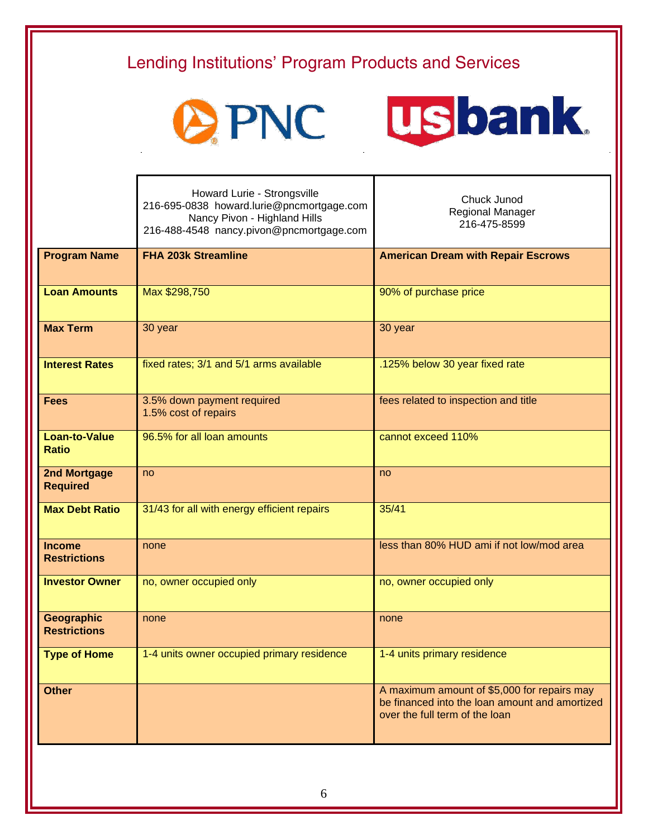| Lending Institutions' Program Products and Services |                                                                                                                                                      |                                                                                                                                 |  |  |  |
|-----------------------------------------------------|------------------------------------------------------------------------------------------------------------------------------------------------------|---------------------------------------------------------------------------------------------------------------------------------|--|--|--|
|                                                     | OPNC                                                                                                                                                 | <b>usbank</b>                                                                                                                   |  |  |  |
|                                                     | Howard Lurie - Strongsville<br>216-695-0838 howard.lurie@pncmortgage.com<br>Nancy Pivon - Highland Hills<br>216-488-4548 nancy.pivon@pncmortgage.com | Chuck Junod<br>Regional Manager<br>216-475-8599                                                                                 |  |  |  |
| <b>Program Name</b>                                 | <b>FHA 203k Streamline</b>                                                                                                                           | <b>American Dream with Repair Escrows</b>                                                                                       |  |  |  |
| <b>Loan Amounts</b>                                 | Max \$298,750                                                                                                                                        | 90% of purchase price                                                                                                           |  |  |  |
| <b>Max Term</b>                                     | 30 year                                                                                                                                              | 30 year                                                                                                                         |  |  |  |
| <b>Interest Rates</b>                               | fixed rates; 3/1 and 5/1 arms available                                                                                                              | .125% below 30 year fixed rate                                                                                                  |  |  |  |
| <b>Fees</b>                                         | 3.5% down payment required<br>1.5% cost of repairs                                                                                                   | fees related to inspection and title                                                                                            |  |  |  |
| <b>Loan-to-Value</b><br><b>Ratio</b>                | 96.5% for all loan amounts                                                                                                                           | cannot exceed 110%                                                                                                              |  |  |  |
| 2nd Mortgage<br><b>Required</b>                     | no                                                                                                                                                   | no                                                                                                                              |  |  |  |
| <b>Max Debt Ratio</b>                               | 31/43 for all with energy efficient repairs                                                                                                          | 35/41                                                                                                                           |  |  |  |
| <b>Income</b><br><b>Restrictions</b>                | none                                                                                                                                                 | less than 80% HUD ami if not low/mod area                                                                                       |  |  |  |
| <b>Investor Owner</b>                               | no, owner occupied only                                                                                                                              | no, owner occupied only                                                                                                         |  |  |  |
| Geographic<br><b>Restrictions</b>                   | none                                                                                                                                                 | none                                                                                                                            |  |  |  |
| <b>Type of Home</b>                                 | 1-4 units owner occupied primary residence                                                                                                           | 1-4 units primary residence                                                                                                     |  |  |  |
| <b>Other</b>                                        |                                                                                                                                                      | A maximum amount of \$5,000 for repairs may<br>be financed into the loan amount and amortized<br>over the full term of the loan |  |  |  |
|                                                     |                                                                                                                                                      |                                                                                                                                 |  |  |  |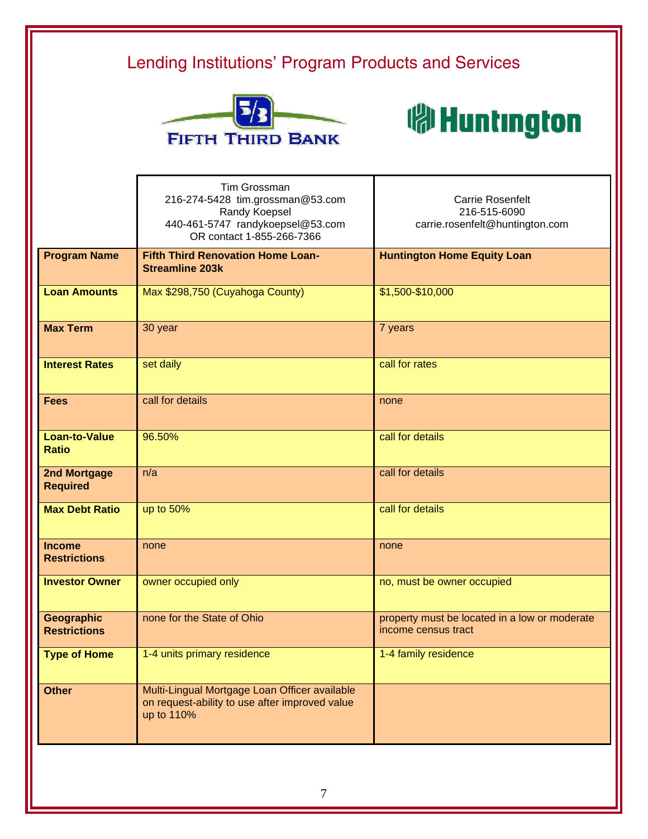



|                                        | <b>Tim Grossman</b><br>216-274-5428 tim.grossman@53.com<br>Randy Koepsel<br>440-461-5747 randykoepsel@53.com<br>OR contact 1-855-266-7366 | <b>Carrie Rosenfelt</b><br>216-515-6090<br>carrie.rosenfelt@huntington.com |
|----------------------------------------|-------------------------------------------------------------------------------------------------------------------------------------------|----------------------------------------------------------------------------|
| <b>Program Name</b>                    | <b>Fifth Third Renovation Home Loan-</b><br><b>Streamline 203k</b>                                                                        | <b>Huntington Home Equity Loan</b>                                         |
| <b>Loan Amounts</b>                    | Max \$298,750 (Cuyahoga County)                                                                                                           | \$1,500-\$10,000                                                           |
| <b>Max Term</b>                        | 30 year                                                                                                                                   | 7 years                                                                    |
| <b>Interest Rates</b>                  | set daily                                                                                                                                 | call for rates                                                             |
| <b>Fees</b>                            | call for details                                                                                                                          | none                                                                       |
| <b>Loan-to-Value</b><br><b>Ratio</b>   | 96.50%                                                                                                                                    | call for details                                                           |
| <b>2nd Mortgage</b><br><b>Required</b> | n/a                                                                                                                                       | call for details                                                           |
| <b>Max Debt Ratio</b>                  | up to 50%                                                                                                                                 | call for details                                                           |
| <b>Income</b><br><b>Restrictions</b>   | none                                                                                                                                      | none                                                                       |
| <b>Investor Owner</b>                  | owner occupied only                                                                                                                       | no, must be owner occupied                                                 |
| Geographic<br><b>Restrictions</b>      | none for the State of Ohio                                                                                                                | property must be located in a low or moderate<br>income census tract       |
| <b>Type of Home</b>                    | 1-4 units primary residence                                                                                                               | 1-4 family residence                                                       |
| <b>Other</b>                           | Multi-Lingual Mortgage Loan Officer available<br>on request-ability to use after improved value<br>up to 110%                             |                                                                            |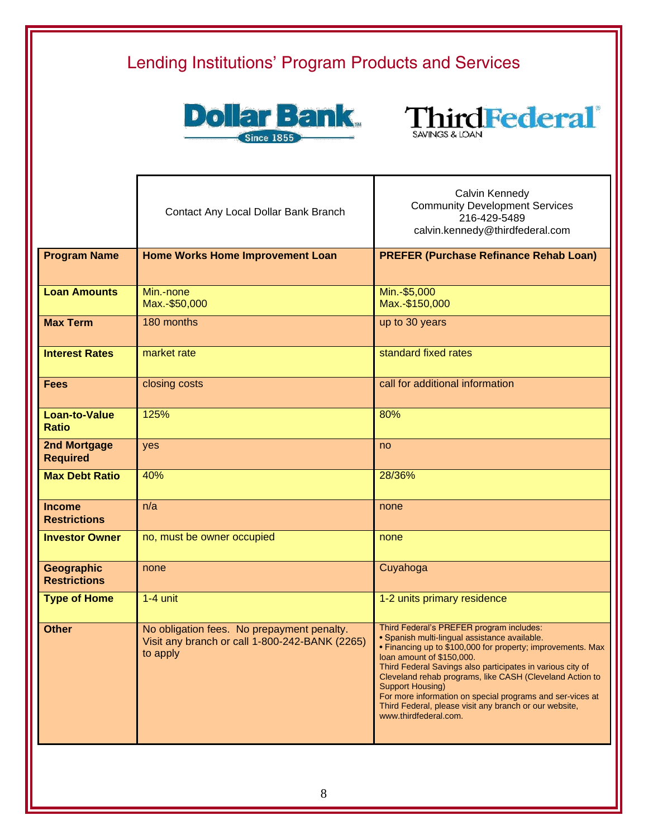



|                                        | Contact Any Local Dollar Bank Branch                                                                     | Calvin Kennedy<br><b>Community Development Services</b><br>216-429-5489<br>calvin.kennedy@thirdfederal.com                                                                                                                                                                                                                                                                                                                                                                                 |  |  |
|----------------------------------------|----------------------------------------------------------------------------------------------------------|--------------------------------------------------------------------------------------------------------------------------------------------------------------------------------------------------------------------------------------------------------------------------------------------------------------------------------------------------------------------------------------------------------------------------------------------------------------------------------------------|--|--|
| <b>Program Name</b>                    | <b>Home Works Home Improvement Loan</b>                                                                  | <b>PREFER (Purchase Refinance Rehab Loan)</b>                                                                                                                                                                                                                                                                                                                                                                                                                                              |  |  |
| <b>Loan Amounts</b>                    | Min.-none<br>Max.-\$50,000                                                                               | Min.-\$5,000<br>Max.-\$150,000                                                                                                                                                                                                                                                                                                                                                                                                                                                             |  |  |
| <b>Max Term</b>                        | 180 months                                                                                               | up to 30 years                                                                                                                                                                                                                                                                                                                                                                                                                                                                             |  |  |
| <b>Interest Rates</b>                  | market rate                                                                                              | standard fixed rates                                                                                                                                                                                                                                                                                                                                                                                                                                                                       |  |  |
| <b>Fees</b>                            | closing costs                                                                                            | call for additional information                                                                                                                                                                                                                                                                                                                                                                                                                                                            |  |  |
| <b>Loan-to-Value</b><br><b>Ratio</b>   | 125%                                                                                                     | 80%                                                                                                                                                                                                                                                                                                                                                                                                                                                                                        |  |  |
| <b>2nd Mortgage</b><br><b>Required</b> | yes                                                                                                      | no                                                                                                                                                                                                                                                                                                                                                                                                                                                                                         |  |  |
| <b>Max Debt Ratio</b>                  | 40%                                                                                                      | 28/36%                                                                                                                                                                                                                                                                                                                                                                                                                                                                                     |  |  |
| <b>Income</b><br><b>Restrictions</b>   | n/a                                                                                                      | none                                                                                                                                                                                                                                                                                                                                                                                                                                                                                       |  |  |
| <b>Investor Owner</b>                  | no, must be owner occupied                                                                               | none                                                                                                                                                                                                                                                                                                                                                                                                                                                                                       |  |  |
| Geographic<br><b>Restrictions</b>      | none                                                                                                     | Cuyahoga                                                                                                                                                                                                                                                                                                                                                                                                                                                                                   |  |  |
| <b>Type of Home</b>                    | $1-4$ unit                                                                                               | 1-2 units primary residence                                                                                                                                                                                                                                                                                                                                                                                                                                                                |  |  |
| <b>Other</b>                           | No obligation fees. No prepayment penalty.<br>Visit any branch or call 1-800-242-BANK (2265)<br>to apply | Third Federal's PREFER program includes:<br>· Spanish multi-lingual assistance available.<br>• Financing up to \$100,000 for property; improvements. Max<br>loan amount of \$150,000.<br>Third Federal Savings also participates in various city of<br>Cleveland rehab programs, like CASH (Cleveland Action to<br><b>Support Housing)</b><br>For more information on special programs and ser-vices at<br>Third Federal, please visit any branch or our website,<br>www.thirdfederal.com. |  |  |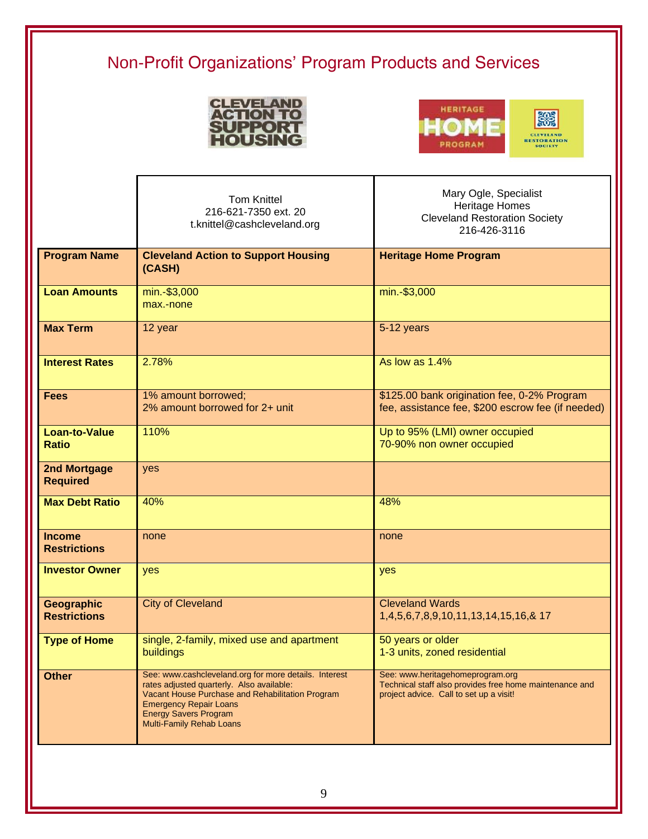# Non-Profit Organizations' Program Products and Services





|                                        | <b>Tom Knittel</b><br>216-621-7350 ext. 20<br>t.knittel@cashcleveland.org                                                                                                                                                                                  | Mary Ogle, Specialist<br><b>Heritage Homes</b><br><b>Cleveland Restoration Society</b><br>216-426-3116                                 |
|----------------------------------------|------------------------------------------------------------------------------------------------------------------------------------------------------------------------------------------------------------------------------------------------------------|----------------------------------------------------------------------------------------------------------------------------------------|
| <b>Program Name</b>                    | <b>Cleveland Action to Support Housing</b><br>(CASH)                                                                                                                                                                                                       | <b>Heritage Home Program</b>                                                                                                           |
| <b>Loan Amounts</b>                    | min.-\$3,000<br>max.-none                                                                                                                                                                                                                                  | min.-\$3,000                                                                                                                           |
| <b>Max Term</b>                        | 12 year                                                                                                                                                                                                                                                    | 5-12 years                                                                                                                             |
| <b>Interest Rates</b>                  | 2.78%                                                                                                                                                                                                                                                      | As low as 1.4%                                                                                                                         |
| <b>Fees</b>                            | 1% amount borrowed;<br>2% amount borrowed for 2+ unit                                                                                                                                                                                                      | \$125.00 bank origination fee, 0-2% Program<br>fee, assistance fee, \$200 escrow fee (if needed)                                       |
| <b>Loan-to-Value</b><br><b>Ratio</b>   | 110%                                                                                                                                                                                                                                                       | Up to 95% (LMI) owner occupied<br>70-90% non owner occupied                                                                            |
| <b>2nd Mortgage</b><br><b>Required</b> | yes                                                                                                                                                                                                                                                        |                                                                                                                                        |
| <b>Max Debt Ratio</b>                  | 40%                                                                                                                                                                                                                                                        | 48%                                                                                                                                    |
| <b>Income</b><br><b>Restrictions</b>   | none                                                                                                                                                                                                                                                       | none                                                                                                                                   |
| <b>Investor Owner</b>                  | yes                                                                                                                                                                                                                                                        | yes                                                                                                                                    |
| Geographic<br><b>Restrictions</b>      | <b>City of Cleveland</b>                                                                                                                                                                                                                                   | <b>Cleveland Wards</b><br>1,4,5,6,7,8,9,10,11,13,14,15,16,& 17                                                                         |
| <b>Type of Home</b>                    | single, 2-family, mixed use and apartment<br>buildings                                                                                                                                                                                                     | 50 years or older<br>1-3 units, zoned residential                                                                                      |
| <b>Other</b>                           | See: www.cashcleveland.org for more details. Interest<br>rates adjusted quarterly. Also available:<br>Vacant House Purchase and Rehabilitation Program<br><b>Emergency Repair Loans</b><br><b>Energy Savers Program</b><br><b>Multi-Family Rehab Loans</b> | See: www.heritagehomeprogram.org<br>Technical staff also provides free home maintenance and<br>project advice. Call to set up a visit! |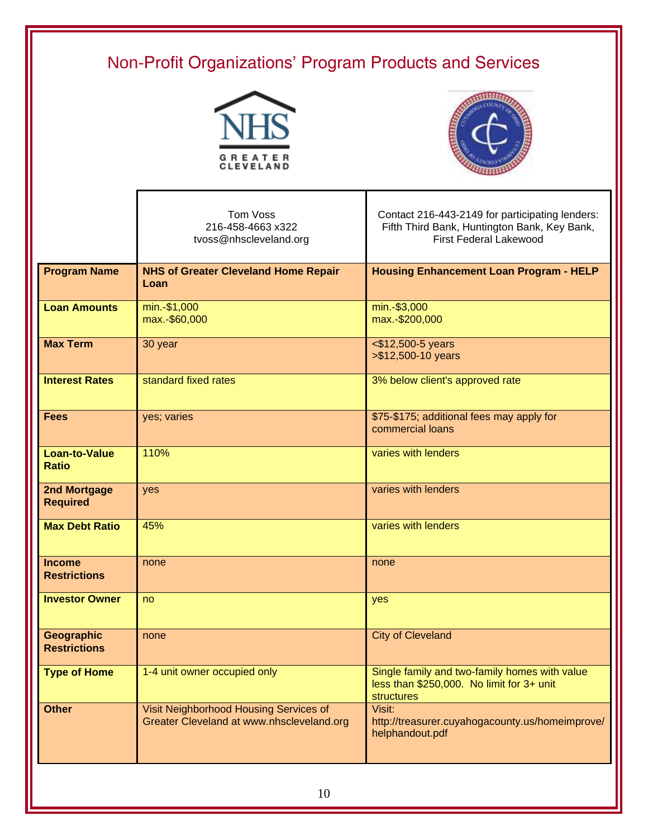# Non-Profit Organizations' Program Products and Services





|                                          | Tom Voss<br>216-458-4663 x322<br>tvoss@nhscleveland.org                             | Contact 216-443-2149 for participating lenders:<br>Fifth Third Bank, Huntington Bank, Key Bank,<br><b>First Federal Lakewood</b> |
|------------------------------------------|-------------------------------------------------------------------------------------|----------------------------------------------------------------------------------------------------------------------------------|
| <b>Program Name</b>                      | <b>NHS of Greater Cleveland Home Repair</b><br>Loan                                 | <b>Housing Enhancement Loan Program - HELP</b>                                                                                   |
| <b>Loan Amounts</b>                      | min.-\$1,000<br>max.-\$60,000                                                       | min.-\$3,000<br>max.-\$200,000                                                                                                   |
| <b>Max Term</b>                          | 30 year                                                                             | <\$12,500-5 years<br>>\$12,500-10 years                                                                                          |
| <b>Interest Rates</b>                    | standard fixed rates                                                                | 3% below client's approved rate                                                                                                  |
| <b>Fees</b>                              | yes; varies                                                                         | \$75-\$175; additional fees may apply for<br>commercial loans                                                                    |
| <b>Loan-to-Value</b><br><b>Ratio</b>     | 110%                                                                                | varies with lenders                                                                                                              |
| <b>2nd Mortgage</b><br><b>Required</b>   | yes                                                                                 | varies with lenders                                                                                                              |
| <b>Max Debt Ratio</b>                    | 45%                                                                                 | varies with lenders                                                                                                              |
| <b>Income</b><br><b>Restrictions</b>     | none                                                                                | none                                                                                                                             |
| <b>Investor Owner</b>                    | no                                                                                  | yes                                                                                                                              |
| <b>Geographic</b><br><b>Restrictions</b> | none                                                                                | <b>City of Cleveland</b>                                                                                                         |
| <b>Type of Home</b>                      | 1-4 unit owner occupied only                                                        | Single family and two-family homes with value<br>less than \$250,000. No limit for 3+ unit<br><b>structures</b>                  |
| <b>Other</b>                             | Visit Neighborhood Housing Services of<br>Greater Cleveland at www.nhscleveland.org | Visit:<br>http://treasurer.cuyahogacounty.us/homeimprove/<br>helphandout.pdf                                                     |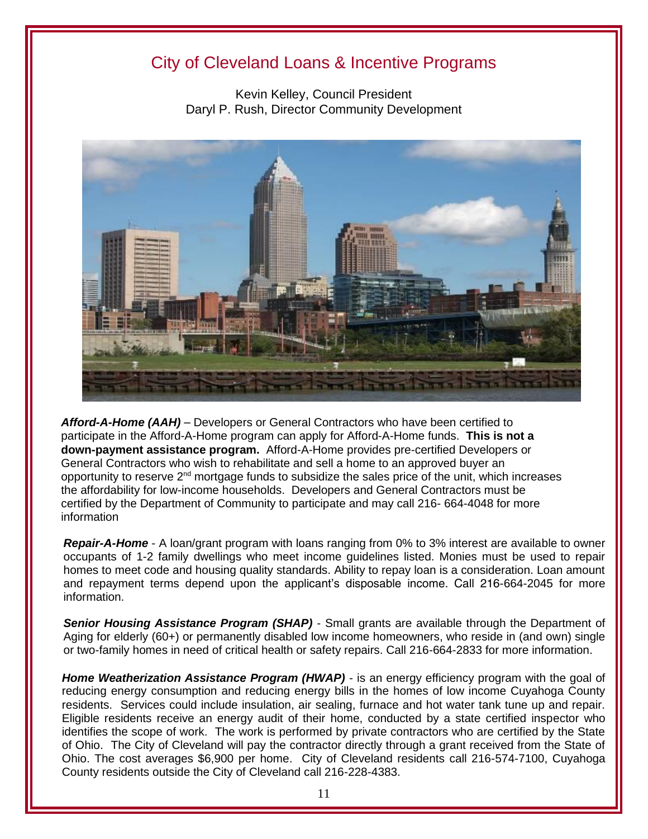## City of Cleveland Loans & Incentive Programs

Kevin Kelley, Council President Daryl P. Rush, Director Community Development



*Afford-A-Home (AAH)* – Developers or General Contractors who have been certified to participate in the Afford-A-Home program can apply for Afford-A-Home funds. **This is not a down-payment assistance program.** Afford-A-Home provides pre-certified Developers or General Contractors who wish to rehabilitate and sell a home to an approved buyer an opportunity to reserve  $2<sup>nd</sup>$  mortgage funds to subsidize the sales price of the unit, which increases the affordability for low-income households. Developers and General Contractors must be certified by the Department of Community to participate and may call 216- 664-4048 for more information

*Repair-A-Home* - A loan/grant program with loans ranging from 0% to 3% interest are available to owner occupants of 1-2 family dwellings who meet income guidelines listed. Monies must be used to repair homes to meet code and housing quality standards. Ability to repay loan is a consideration. Loan amount and repayment terms depend upon the applicant's disposable income. Call 216-664-2045 for more information.

*Senior Housing Assistance Program (SHAP)* - Small grants are available through the Department of Aging for elderly (60+) or permanently disabled low income homeowners, who reside in (and own) single or two-family homes in need of critical health or safety repairs. Call 216-664-2833 for more information.

**Home Weatherization Assistance Program (HWAP)** - is an energy efficiency program with the goal of reducing energy consumption and reducing energy bills in the homes of low income Cuyahoga County residents. Services could include insulation, air sealing, furnace and hot water tank tune up and repair. Eligible residents receive an energy audit of their home, conducted by a state certified inspector who identifies the scope of work. The work is performed by private contractors who are certified by the State of Ohio. The City of Cleveland will pay the contractor directly through a grant received from the State of Ohio. The cost averages \$6,900 per home. City of Cleveland residents call 216-574-7100, Cuyahoga County residents outside the City of Cleveland call 216-228-4383.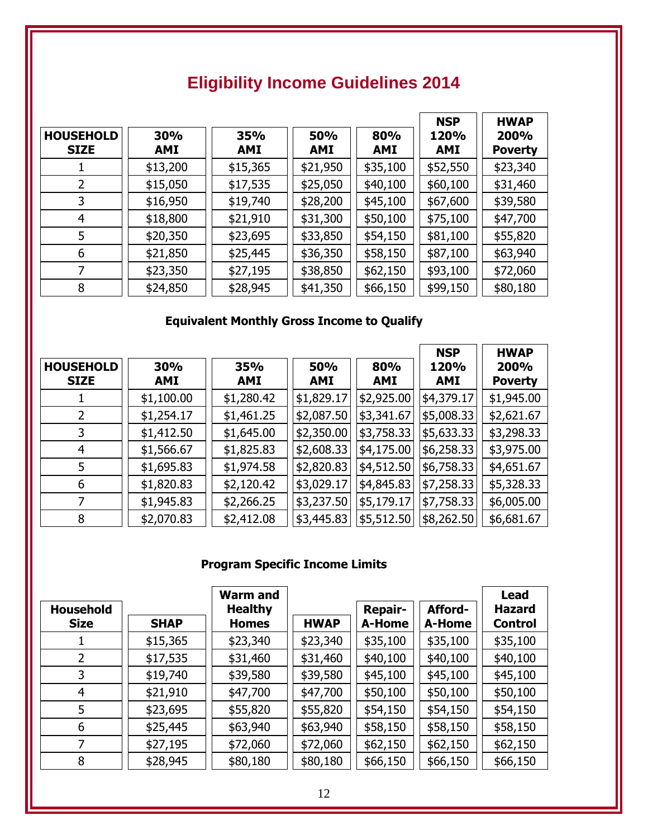| <b>HOUSEHOLD</b><br><b>SIZE</b> | 30%<br><b>AMI</b> | 35%<br><b>AMI</b> | 50%<br><b>AMI</b> | 80%<br><b>AMI</b> | <b>NSP</b><br>120%<br><b>AMI</b> | <b>HWAP</b><br>200%<br><b>Poverty</b> |
|---------------------------------|-------------------|-------------------|-------------------|-------------------|----------------------------------|---------------------------------------|
|                                 | \$13,200          | \$15,365          | \$21,950          | \$35,100          | \$52,550                         | \$23,340                              |
|                                 | \$15,050          | \$17,535          | \$25,050          | \$40,100          | \$60,100                         | \$31,460                              |
| 3                               | \$16,950          | \$19,740          | \$28,200          | \$45,100          | \$67,600                         | \$39,580                              |
| 4                               | \$18,800          | \$21,910          | \$31,300          | \$50,100          | \$75,100                         | \$47,700                              |
| 5                               | \$20,350          | \$23,695          | \$33,850          | \$54,150          | \$81,100                         | \$55,820                              |
| 6                               | \$21,850          | \$25,445          | \$36,350          | \$58,150          | \$87,100                         | \$63,940                              |
|                                 | \$23,350          | \$27,195          | \$38,850          | \$62,150          | \$93,100                         | \$72,060                              |
| 8                               | \$24,850          | \$28,945          | \$41,350          | \$66,150          | \$99,150                         | \$80,180                              |

## **Eligibility Income Guidelines 2014**

### **Equivalent Monthly Gross Income to Qualify**

|                  |            |            |            |            | <b>NSP</b> | <b>HWAP</b>    |
|------------------|------------|------------|------------|------------|------------|----------------|
| <b>HOUSEHOLD</b> | 30%        | <b>35%</b> | 50%        | 80%        | 120%       | 200%           |
| <b>SIZE</b>      | AMI        | <b>AMI</b> | <b>AMI</b> | <b>AMI</b> | AMI        | <b>Poverty</b> |
|                  | \$1,100.00 | \$1,280.42 | \$1,829.17 | \$2,925.00 | \$4,379.17 | \$1,945.00     |
| 2                | \$1,254.17 | \$1,461.25 | \$2,087.50 | \$3,341.67 | \$5,008.33 | \$2,621.67     |
| 3                | \$1,412.50 | \$1,645.00 | \$2,350.00 | \$3,758.33 | \$5,633.33 | \$3,298.33     |
| 4                | \$1,566.67 | \$1,825.83 | \$2,608.33 | \$4,175.00 | \$6,258.33 | \$3,975.00     |
| 5                | \$1,695.83 | \$1,974.58 | \$2,820.83 | \$4,512.50 | \$6,758.33 | \$4,651.67     |
| 6                | \$1,820.83 | \$2,120.42 | \$3,029.17 | \$4,845.83 | \$7,258.33 | \$5,328.33     |
|                  | \$1,945.83 | \$2,266.25 | \$3,237.50 | \$5,179.17 | \$7,758.33 | \$6,005.00     |
| 8                | \$2,070.83 | \$2,412.08 | \$3,445.83 | \$5,512.50 | \$8,262.50 | \$6,681.67     |

## **Program Specific Income Limits**

|                                 |             | <b>Warm and</b>                |             |                          |                   | <b>Lead</b>                     |
|---------------------------------|-------------|--------------------------------|-------------|--------------------------|-------------------|---------------------------------|
| <b>Household</b><br><b>Size</b> | <b>SHAP</b> | <b>Healthy</b><br><b>Homes</b> | <b>HWAP</b> | <b>Repair-</b><br>A-Home | Afford-<br>A-Home | <b>Hazard</b><br><b>Control</b> |
|                                 | \$15,365    | \$23,340                       | \$23,340    | \$35,100                 | \$35,100          | \$35,100                        |
| 2                               | \$17,535    | \$31,460                       | \$31,460    | \$40,100                 | \$40,100          | \$40,100                        |
| 3                               | \$19,740    | \$39,580                       | \$39,580    | \$45,100                 | \$45,100          | \$45,100                        |
| 4                               | \$21,910    | \$47,700                       | \$47,700    | \$50,100                 | \$50,100          | \$50,100                        |
| 5                               | \$23,695    | \$55,820                       | \$55,820    | \$54,150                 | \$54,150          | \$54,150                        |
| 6                               | \$25,445    | \$63,940                       | \$63,940    | \$58,150                 | \$58,150          | \$58,150                        |
|                                 | \$27,195    | \$72,060                       | \$72,060    | \$62,150                 | \$62,150          | \$62,150                        |
| 8                               | \$28,945    | \$80,180                       | \$80,180    | \$66,150                 | \$66,150          | \$66,150                        |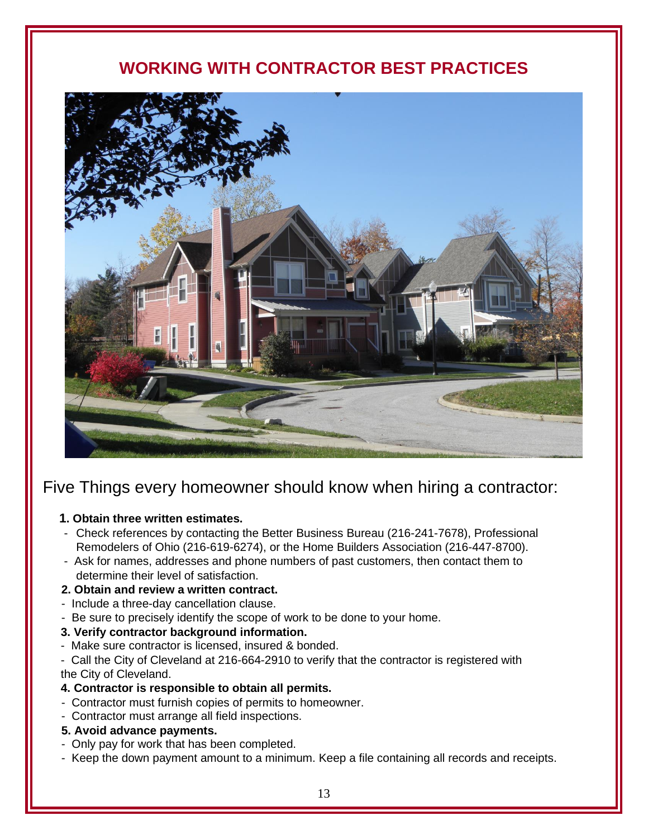## **WORKING WITH CONTRACTOR BEST PRACTICES**



## Five Things every homeowner should know when hiring a contractor:

#### **1. Obtain three written estimates.**

- Check references by contacting the Better Business Bureau (216-241-7678), Professional Remodelers of Ohio (216-619-6274), or the Home Builders Association (216-447-8700).
- Ask for names, addresses and phone numbers of past customers, then contact them to determine their level of satisfaction.

### **2. Obtain and review a written contract.**

- Include a three-day cancellation clause.
- Be sure to precisely identify the scope of work to be done to your home.

#### **3. Verify contractor background information.**

- Make sure contractor is licensed, insured & bonded.

- Call the City of Cleveland at 216-664-2910 to verify that the contractor is registered with the City of Cleveland.

#### **4. Contractor is responsible to obtain all permits.**

- Contractor must furnish copies of permits to homeowner.
- Contractor must arrange all field inspections.

#### **5. Avoid advance payments.**

- Only pay for work that has been completed.
- Keep the down payment amount to a minimum. Keep a file containing all records and receipts.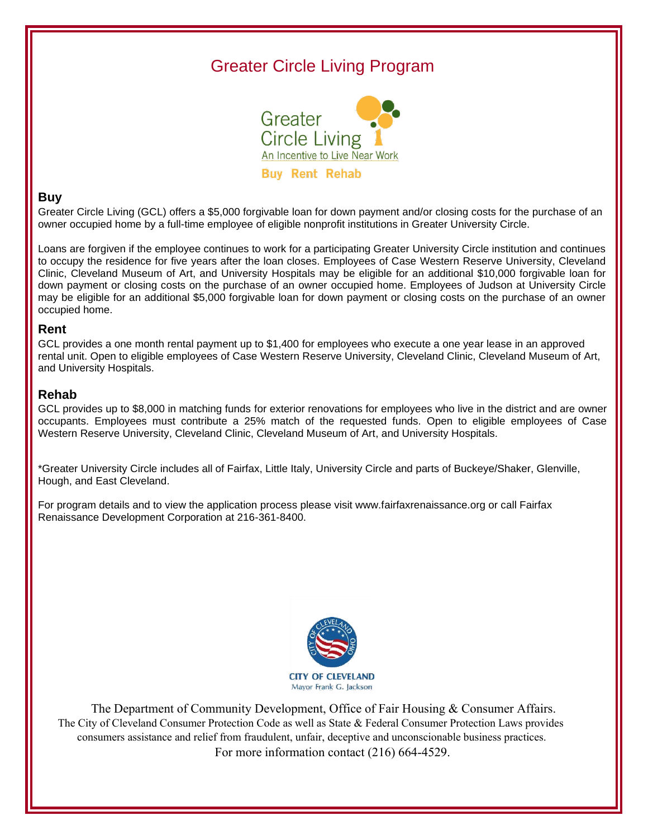## Greater Circle Living Program



#### **Buy**

Greater Circle Living (GCL) offers a \$5,000 forgivable loan for down payment and/or closing costs for the purchase of an owner occupied home by a full-time employee of eligible nonprofit institutions in Greater University Circle.

Loans are forgiven if the employee continues to work for a participating Greater University Circle institution and continues to occupy the residence for five years after the loan closes. Employees of Case Western Reserve University, Cleveland Clinic, Cleveland Museum of Art, and University Hospitals may be eligible for an additional \$10,000 forgivable loan for down payment or closing costs on the purchase of an owner occupied home. Employees of Judson at University Circle may be eligible for an additional \$5,000 forgivable loan for down payment or closing costs on the purchase of an owner occupied home.

#### **Rent**

GCL provides a one month rental payment up to \$1,400 for employees who execute a one year lease in an approved rental unit. Open to eligible employees of Case Western Reserve University, Cleveland Clinic, Cleveland Museum of Art, and University Hospitals.

#### **Rehab**

GCL provides up to \$8,000 in matching funds for exterior renovations for employees who live in the district and are owner occupants. Employees must contribute a 25% match of the requested funds. Open to eligible employees of Case Western Reserve University, Cleveland Clinic, Cleveland Museum of Art, and University Hospitals.

\*Greater University Circle includes all of Fairfax, Little Italy, University Circle and parts of Buckeye/Shaker, Glenville, Hough, and East Cleveland.

For program details and to view the application process please visit www.fairfaxrenaissance.org or call Fairfax Renaissance Development Corporation at 216-361-8400.



The Department of Community Development, Office of Fair Housing & Consumer Affairs. The City of Cleveland Consumer Protection Code as well as State & Federal Consumer Protection Laws provides consumers assistance and relief from fraudulent, unfair, deceptive and unconscionable business practices. For more information contact (216) 664-4529.